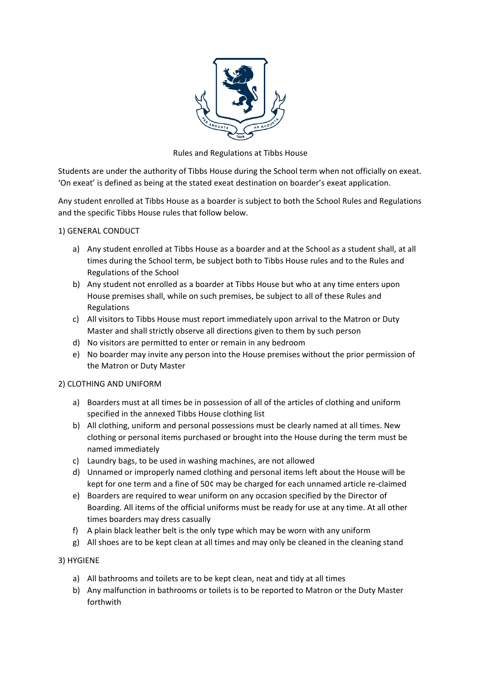

Rules and Regulations at Tibbs House

Students are under the authority of Tibbs House during the School term when not officially on exeat. 'On exeat' is defined as being at the stated exeat destination on boarder's exeat application.

Any student enrolled at Tibbs House as a boarder is subject to both the School Rules and Regulations and the specific Tibbs House rules that follow below.

### 1) GENERAL CONDUCT

- a) Any student enrolled at Tibbs House as a boarder and at the School as a student shall, at all times during the School term, be subject both to Tibbs House rules and to the Rules and Regulations of the School
- b) Any student not enrolled as a boarder at Tibbs House but who at any time enters upon House premises shall, while on such premises, be subject to all of these Rules and Regulations
- c) All visitors to Tibbs House must report immediately upon arrival to the Matron or Duty Master and shall strictly observe all directions given to them by such person
- d) No visitors are permitted to enter or remain in any bedroom
- e) No boarder may invite any person into the House premises without the prior permission of the Matron or Duty Master

## 2) CLOTHING AND UNIFORM

- a) Boarders must at all times be in possession of all of the articles of clothing and uniform specified in the annexed Tibbs House clothing list
- b) All clothing, uniform and personal possessions must be clearly named at all times. New clothing or personal items purchased or brought into the House during the term must be named immediately
- c) Laundry bags, to be used in washing machines, are not allowed
- d) Unnamed or improperly named clothing and personal items left about the House will be kept for one term and a fine of 50¢ may be charged for each unnamed article re-claimed
- e) Boarders are required to wear uniform on any occasion specified by the Director of Boarding. All items of the official uniforms must be ready for use at any time. At all other times boarders may dress casually
- f) A plain black leather belt is the only type which may be worn with any uniform
- g) All shoes are to be kept clean at all times and may only be cleaned in the cleaning stand

## 3) HYGIENE

- a) All bathrooms and toilets are to be kept clean, neat and tidy at all times
- b) Any malfunction in bathrooms or toilets is to be reported to Matron or the Duty Master forthwith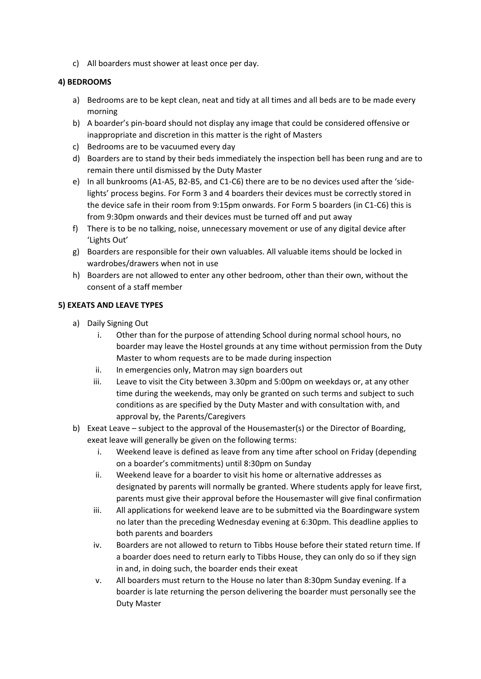c) All boarders must shower at least once per day.

## **4) BEDROOMS**

- a) Bedrooms are to be kept clean, neat and tidy at all times and all beds are to be made every morning
- b) A boarder's pin-board should not display any image that could be considered offensive or inappropriate and discretion in this matter is the right of Masters
- c) Bedrooms are to be vacuumed every day
- d) Boarders are to stand by their beds immediately the inspection bell has been rung and are to remain there until dismissed by the Duty Master
- e) In all bunkrooms (A1-A5, B2-B5, and C1-C6) there are to be no devices used after the 'sidelights' process begins. For Form 3 and 4 boarders their devices must be correctly stored in the device safe in their room from 9:15pm onwards. For Form 5 boarders (in C1-C6) this is from 9:30pm onwards and their devices must be turned off and put away
- f) There is to be no talking, noise, unnecessary movement or use of any digital device after 'Lights Out'
- g) Boarders are responsible for their own valuables. All valuable items should be locked in wardrobes/drawers when not in use
- h) Boarders are not allowed to enter any other bedroom, other than their own, without the consent of a staff member

## **5) EXEATS AND LEAVE TYPES**

- a) Daily Signing Out
	- i. Other than for the purpose of attending School during normal school hours, no boarder may leave the Hostel grounds at any time without permission from the Duty Master to whom requests are to be made during inspection
	- ii. In emergencies only, Matron may sign boarders out
	- iii. Leave to visit the City between 3.30pm and 5:00pm on weekdays or, at any other time during the weekends, may only be granted on such terms and subject to such conditions as are specified by the Duty Master and with consultation with, and approval by, the Parents/Caregivers
- b) Exeat Leave subject to the approval of the Housemaster(s) or the Director of Boarding, exeat leave will generally be given on the following terms:
	- i. Weekend leave is defined as leave from any time after school on Friday (depending on a boarder's commitments) until 8:30pm on Sunday
	- ii. Weekend leave for a boarder to visit his home or alternative addresses as designated by parents will normally be granted. Where students apply for leave first, parents must give their approval before the Housemaster will give final confirmation
	- iii. All applications for weekend leave are to be submitted via the Boardingware system no later than the preceding Wednesday evening at 6:30pm. This deadline applies to both parents and boarders
	- iv. Boarders are not allowed to return to Tibbs House before their stated return time. If a boarder does need to return early to Tibbs House, they can only do so if they sign in and, in doing such, the boarder ends their exeat
	- v. All boarders must return to the House no later than 8:30pm Sunday evening. If a boarder is late returning the person delivering the boarder must personally see the Duty Master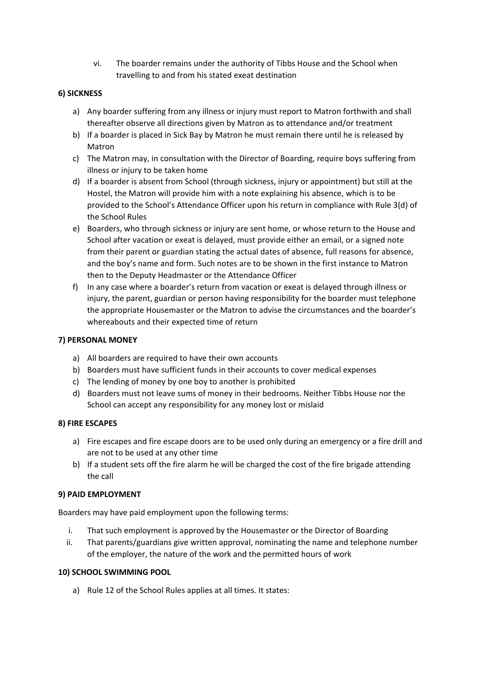vi. The boarder remains under the authority of Tibbs House and the School when travelling to and from his stated exeat destination

## **6) SICKNESS**

- a) Any boarder suffering from any illness or injury must report to Matron forthwith and shall thereafter observe all directions given by Matron as to attendance and/or treatment
- b) If a boarder is placed in Sick Bay by Matron he must remain there until he is released by Matron
- c) The Matron may, in consultation with the Director of Boarding, require boys suffering from illness or injury to be taken home
- d) If a boarder is absent from School (through sickness, injury or appointment) but still at the Hostel, the Matron will provide him with a note explaining his absence, which is to be provided to the School's Attendance Officer upon his return in compliance with Rule 3(d) of the School Rules
- e) Boarders, who through sickness or injury are sent home, or whose return to the House and School after vacation or exeat is delayed, must provide either an email, or a signed note from their parent or guardian stating the actual dates of absence, full reasons for absence, and the boy's name and form. Such notes are to be shown in the first instance to Matron then to the Deputy Headmaster or the Attendance Officer
- f) In any case where a boarder's return from vacation or exeat is delayed through illness or injury, the parent, guardian or person having responsibility for the boarder must telephone the appropriate Housemaster or the Matron to advise the circumstances and the boarder's whereabouts and their expected time of return

### **7) PERSONAL MONEY**

- a) All boarders are required to have their own accounts
- b) Boarders must have sufficient funds in their accounts to cover medical expenses
- c) The lending of money by one boy to another is prohibited
- d) Boarders must not leave sums of money in their bedrooms. Neither Tibbs House nor the School can accept any responsibility for any money lost or mislaid

#### **8) FIRE ESCAPES**

- a) Fire escapes and fire escape doors are to be used only during an emergency or a fire drill and are not to be used at any other time
- b) If a student sets off the fire alarm he will be charged the cost of the fire brigade attending the call

#### **9) PAID EMPLOYMENT**

Boarders may have paid employment upon the following terms:

- i. That such employment is approved by the Housemaster or the Director of Boarding
- ii. That parents/guardians give written approval, nominating the name and telephone number of the employer, the nature of the work and the permitted hours of work

#### **10) SCHOOL SWIMMING POOL**

a) Rule 12 of the School Rules applies at all times. It states: